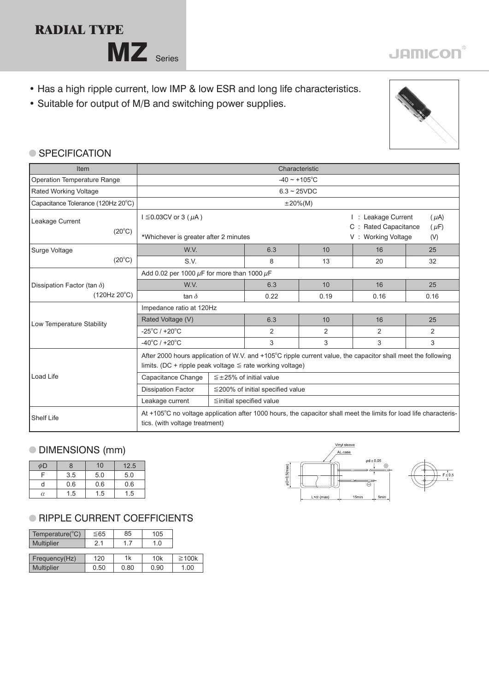## **RADIAL TYPE**

MZ Series

- Has a high ripple current, low IMP & low ESR and long life characteristics.
- Suitable for output of M/B and switching power supplies.



#### ● SPECIFICATION

| Item                               | Characteristic                                                                                                                                                                 |                                                                                                                                                               |      |                |                                                                      |      |  |
|------------------------------------|--------------------------------------------------------------------------------------------------------------------------------------------------------------------------------|---------------------------------------------------------------------------------------------------------------------------------------------------------------|------|----------------|----------------------------------------------------------------------|------|--|
| Operation Temperature Range        | $-40 \sim +105$ °C                                                                                                                                                             |                                                                                                                                                               |      |                |                                                                      |      |  |
| Rated Working Voltage              | $6.3 \sim 25$ VDC                                                                                                                                                              |                                                                                                                                                               |      |                |                                                                      |      |  |
| Capacitance Tolerance (120Hz 20°C) | $\pm 20\%$ (M)                                                                                                                                                                 |                                                                                                                                                               |      |                |                                                                      |      |  |
| Leakage Current<br>$(20^{\circ}C)$ | $I \leq 0.03CV$ or 3 ( $\mu$ A)                                                                                                                                                |                                                                                                                                                               |      |                | : Leakage Current<br>$(\mu A)$<br>C : Rated Capacitance<br>$(\mu F)$ |      |  |
|                                    | *Whichever is greater after 2 minutes                                                                                                                                          |                                                                                                                                                               |      |                | V: Working Voltage<br>(V)                                            |      |  |
| Surge Voltage                      | W.V.                                                                                                                                                                           |                                                                                                                                                               | 6.3  | 10             | 16                                                                   | 25   |  |
| $(20^{\circ}C)$                    | S.V.                                                                                                                                                                           |                                                                                                                                                               | 8    | 13             | 20                                                                   | 32   |  |
|                                    | Add 0.02 per 1000 $\mu$ F for more than 1000 $\mu$ F                                                                                                                           |                                                                                                                                                               |      |                |                                                                      |      |  |
| Dissipation Factor (tan $\delta$ ) | W.V.                                                                                                                                                                           |                                                                                                                                                               | 6.3  | 10             | 16                                                                   | 25   |  |
| $(120Hz 20^{\circ}C)$              | tan $\delta$                                                                                                                                                                   |                                                                                                                                                               | 0.22 | 0.19           | 0.16                                                                 | 0.16 |  |
|                                    | Impedance ratio at 120Hz                                                                                                                                                       |                                                                                                                                                               |      |                |                                                                      |      |  |
| Low Temperature Stability          | Rated Voltage (V)                                                                                                                                                              |                                                                                                                                                               | 6.3  | 10             | 16                                                                   | 25   |  |
|                                    | $-25^{\circ}$ C / +20 $^{\circ}$ C                                                                                                                                             |                                                                                                                                                               | 2    | $\overline{2}$ | 2                                                                    | 2    |  |
|                                    | $-40^{\circ}$ C / +20 $^{\circ}$ C                                                                                                                                             |                                                                                                                                                               | 3    | 3              | 3                                                                    | 3    |  |
|                                    | After 2000 hours application of W.V. and +105°C ripple current value, the capacitor shall meet the following<br>limits. (DC + ripple peak voltage $\leq$ rate working voltage) |                                                                                                                                                               |      |                |                                                                      |      |  |
| Load Life                          | Capacitance Change                                                                                                                                                             | $\leq$ ±25% of initial value                                                                                                                                  |      |                |                                                                      |      |  |
|                                    | <b>Dissipation Factor</b>                                                                                                                                                      | $\leq$ 200% of initial specified value                                                                                                                        |      |                |                                                                      |      |  |
|                                    | Leakage current                                                                                                                                                                | ≦initial specified value                                                                                                                                      |      |                |                                                                      |      |  |
| <b>Shelf Life</b>                  |                                                                                                                                                                                | At $+105^{\circ}$ C no voltage application after 1000 hours, the capacitor shall meet the limits for load life characteris-<br>tics. (with voltage treatment) |      |                |                                                                      |      |  |

#### DIMENSIONS (mm)

| φD |     | 10  | 12.5 |  |
|----|-----|-----|------|--|
|    | 3.5 | 5.0 | 5.0  |  |
|    | 0.6 | 0.6 | 0.6  |  |
| α  | 1.5 |     | 1.5  |  |

### **RIPPLE CURRENT COEFFICIENTS**

| Temperature(°C)   | ≤65  | 85   | 105  |             |
|-------------------|------|------|------|-------------|
| <b>Multiplier</b> | 2.1  | 17   | 1.0  |             |
|                   |      |      |      |             |
| Frequency(Hz)     | 120  | 1k   | 10k  | $\geq 100k$ |
| <b>Multiplier</b> | 0.50 | 0.80 | 0.90 | 1.00        |





# **JAMICON®**